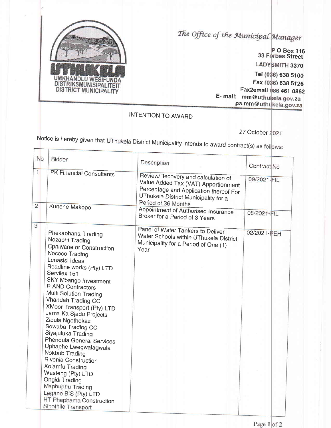

The Office of the Municipal Manager

Tel 638 5100 Fax ) 638 5126 E- mail: mm@uthukela.gov.za pa.mm@uthukela.gov.za O Box 116 Street LADYSMITH 3370 Fax2email 086 461 0862

INTENTION TO AWARD

27 October 2021

Notice is hereby given that UThukela District Municipality intends to award contract(s) as

|                                | No | Bidder                                                                                                                                                                                                                                                                                                                                                                                                                                                                                                                                                                                                                                                | Description                                                                                                                                                                        | Contract No |
|--------------------------------|----|-------------------------------------------------------------------------------------------------------------------------------------------------------------------------------------------------------------------------------------------------------------------------------------------------------------------------------------------------------------------------------------------------------------------------------------------------------------------------------------------------------------------------------------------------------------------------------------------------------------------------------------------------------|------------------------------------------------------------------------------------------------------------------------------------------------------------------------------------|-------------|
| $\mathbf{1}$<br>$\overline{2}$ |    | PK Financial Consultants<br>Kunene Makopo                                                                                                                                                                                                                                                                                                                                                                                                                                                                                                                                                                                                             | Review/Recovery and calculation of<br>Value Added Tax (VAT) Apportionment<br>Percentage and Application thereof For<br>UThukela District Municipality for a<br>Period of 36 Months | 09/2021-FIL |
|                                |    |                                                                                                                                                                                                                                                                                                                                                                                                                                                                                                                                                                                                                                                       | Appointment of Authorised Insurance<br>Broker for a Period of 3 Years                                                                                                              | 08/2021-FIL |
| 3                              |    | Phekaphansi Trading<br>Nozaphi Trading<br><b>Cphiwane or Construction</b><br>Nococo Trading<br>Lunasisi Ideas<br>Roadline works (Pty) LTD<br>Servilex 151<br>SKY Mbango Investment<br>R AND Contractors<br>Multi Solution Trading<br>Vhandah Trading CC<br>XMoor Transport (Pty) LTD<br>Jama Ka Sjadu Projects<br>Zibula Ngethokazi<br>Sdwaba Trading CC<br>Siyajuluka Trading<br><b>Phendula General Services</b><br>Uphaphe Lwegwalagwala<br>Nokbub Trading<br>Rivonia Construction<br>Xolamfu Trading<br>Wasteng (Pty) LTD<br><b>Ongidi Trading</b><br>Maphuphu Trading<br>Legane BIS (Pty) LTD<br>HT Phaphama Construction<br>Sinothile Transport | Panel of Water Tankers to Deliver<br>Water Schools within UThukela District<br>Municipality for a Period of One (1)<br>Year                                                        | 02/2021-PEH |
|                                |    |                                                                                                                                                                                                                                                                                                                                                                                                                                                                                                                                                                                                                                                       |                                                                                                                                                                                    |             |